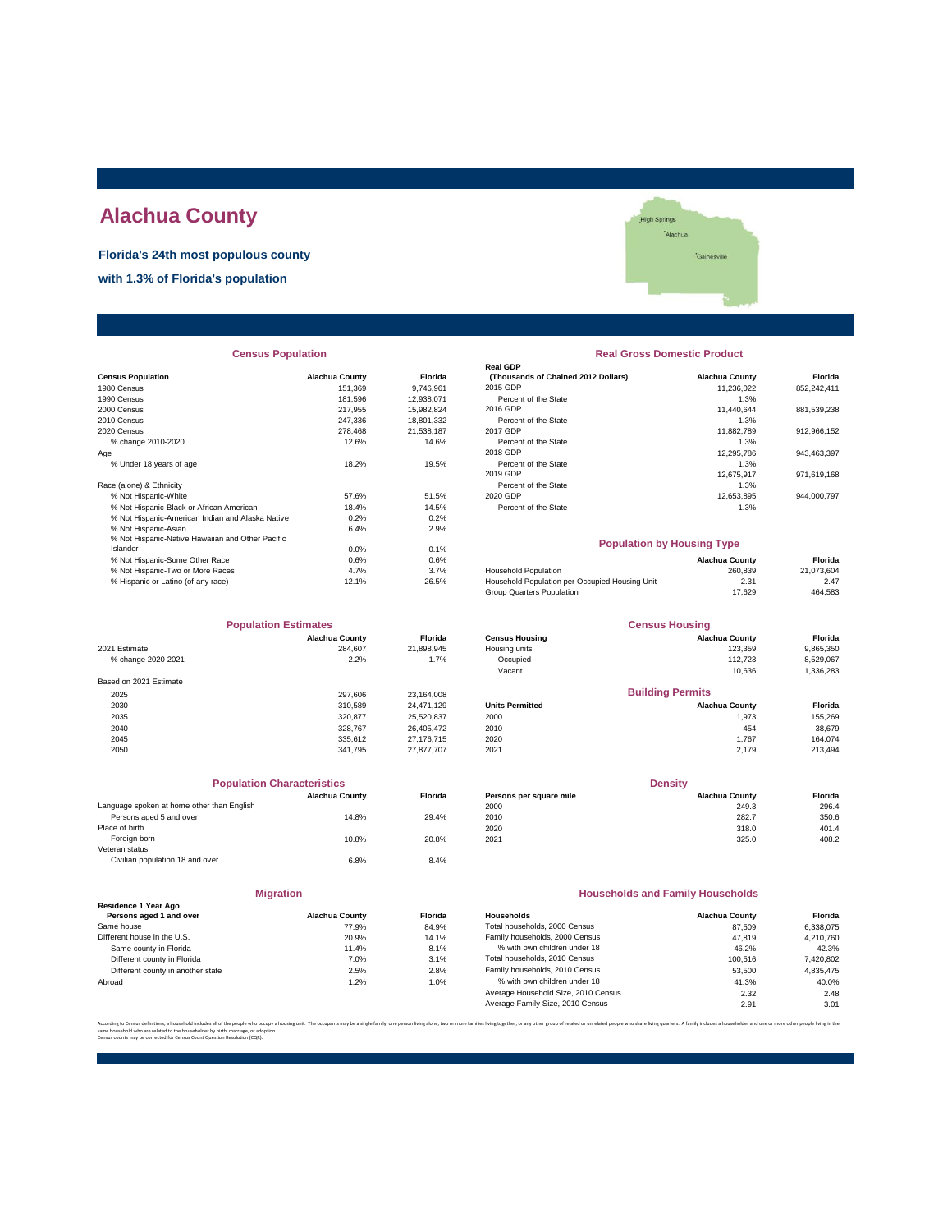# **Alachua County**

**Florida's 24th most populous county**

**with 1.3% of Florida's population**



# **Census Population 2008 12 12 13 13 14 14 14 14 14 151.369**<br>1980 Census 2008 151.369 151.369 151.369 151.369 151.369 1746.961 1990 Census 181,596 12,938,071 Percent of the State 1.3% 2010 Census 247,336 18,801,332 Percent of the State 1.3% % change 2010-2020 12.6% 12.6% 14.6% Percent of the State 1.4% Percent of the State 1.3% Percent of the State 1<br>Percent of the State 1.3% Percent of the State 1.3% Percent of the State 1.3% Percent of the State 1.3% Percen Race (alone) & Ethnicity<br>
% Not Hispanic-White<br>
% Not Hispanic-Black or African American<br>
18.4% 14.5% % Not Hispanic-American Indian and Alaska Native 0.2% 0.2% % Not Hispanic-Asian 6.4% 2.9% % Not Hispanic-Native Hawaiian and Other Pacific Islander 0.0% 0.1% % Not Hispanic-Some Other Race 0.6% 0.6% **Alachua County Florida** % Hispanic or Latino (of any race) 12.1% 26.5% Household Population per Occupied Household Population per Occupied Housing Unit 2.47% Population per Occupied Housing Unit 2.47% Population per Occupied Housing Unit 2.47 2.4 **Census Population**

| <b>Population Estimates</b> |                       |            |
|-----------------------------|-----------------------|------------|
|                             | <b>Alachua County</b> | Florida    |
| 2021 Estimate               | 284.607               | 21,898,945 |
| % change 2020-2021          | 2.2%                  | 1.7%       |
| Based on 2021 Estimate      |                       |            |
| 2025                        | 297,606               | 23,164,008 |
| 2030                        | 310,589               | 24,471,129 |
| 2035                        | 320.877               | 25.520.837 |
| 2040                        | 328,767               | 26.405.472 |
| 2045                        | 335.612               | 27.176.715 |
| 2050                        | 341.795               | 27.877.707 |

| <b>Population Characteristics</b>          |                       |                | <b>Density</b>          |                       |         |
|--------------------------------------------|-----------------------|----------------|-------------------------|-----------------------|---------|
|                                            | <b>Alachua County</b> | <b>Florida</b> | Persons per square mile | <b>Alachua County</b> | Florida |
| Language spoken at home other than English |                       |                | 2000                    | 249.3                 | 296.4   |
| Persons aged 5 and over                    | 14.8%                 | 29.4%          | 2010                    | 282.7                 | 350.6   |
| Place of birth                             |                       |                | 2020                    | 318.0                 | 401.4   |
| Foreign born                               | 10.8%                 | 20.8%          | 2021                    | 325.0                 | 408.2   |
| Veteran status                             |                       |                |                         |                       |         |
| Civilian population 18 and over            | 6.8%                  | 8.4%           |                         |                       |         |

|                                   | <b>Migration</b>      |                |
|-----------------------------------|-----------------------|----------------|
| Residence 1 Year Ago              |                       |                |
| Persons aged 1 and over           | <b>Alachua County</b> | <b>Florida</b> |
| Same house                        | 77.9%                 | 84.9%          |
| Different house in the U.S.       | 20.9%                 | 14.1%          |
| Same county in Florida            | 11.4%                 | 8.1%           |
| Different county in Florida       | 7.0%                  | 3.1%           |
| Different county in another state | 2.5%                  | 2.8%           |
| Abroad                            | 1.2%                  | 1.0%           |

### **Real Gross Domestic Product**

|                                                  |                       |                | <b>Real GDP</b>                     |                       |             |
|--------------------------------------------------|-----------------------|----------------|-------------------------------------|-----------------------|-------------|
| <b>Census Population</b>                         | <b>Alachua County</b> | <b>Florida</b> | (Thousands of Chained 2012 Dollars) | <b>Alachua County</b> | Florida     |
| 1980 Census                                      | 151.369               | 9.746.961      | 2015 GDP                            | 11.236.022            | 852,242,411 |
| 1990 Census                                      | 181.596               | 12.938.071     | Percent of the State                | 1.3%                  |             |
| 2000 Census                                      | 217.955               | 15.982.824     | 2016 GDP                            | 11.440.644            | 881,539,238 |
| 2010 Census                                      | 247.336               | 18,801,332     | Percent of the State                | 1.3%                  |             |
| 2020 Census                                      | 278,468               | 21,538,187     | 2017 GDP                            | 11,882,789            | 912,966,152 |
| % change 2010-2020                               | 12.6%                 | 14.6%          | Percent of the State                | 1.3%                  |             |
| Aae                                              |                       |                | 2018 GDP                            | 12.295.786            | 943.463.397 |
| % Under 18 years of age                          | 18.2%                 | 19.5%          | Percent of the State                | 1.3%                  |             |
|                                                  |                       |                | 2019 GDP                            | 12.675.917            | 971.619.168 |
| Race (alone) & Ethnicity                         |                       |                | Percent of the State                | 1.3%                  |             |
| % Not Hispanic-White                             | 57.6%                 | 51.5%          | 2020 GDP                            | 12.653.895            | 944.000.797 |
| % Not Hispanic-Black or African American         | 18.4%                 | 14.5%          | Percent of the State                | 1.3%                  |             |
| % Not Hispanic-American Indian and Alaska Native | 0.2%                  | 0.2%           |                                     |                       |             |
| % Not Hispanic-Asian                             | 6.4%                  | 2.9%           |                                     |                       |             |
|                                                  |                       |                |                                     |                       |             |

### **Population by Housing Type**

| % Not Hispanic-Some Other Race     | 0.6%  | 0.6%  |                                                | <b>Alachua County</b> | Florida    |
|------------------------------------|-------|-------|------------------------------------------------|-----------------------|------------|
| % Not Hispanic-Two or More Races   | 4.7%  | 3.7%  | <b>Household Population</b>                    | 260.839               | 21.073.604 |
| % Hispanic or Latino (of any race) | 12.1% | 26.5% | Household Population per Occupied Housing Unit | 2.31                  | 2.47       |
|                                    |       |       | Group Quarters Population                      | 17.629                | 464,583    |

| <b>Population Estimates</b> |                       | <b>Census Housing</b> |                       |                         |           |
|-----------------------------|-----------------------|-----------------------|-----------------------|-------------------------|-----------|
|                             | <b>Alachua County</b> | <b>Florida</b>        | <b>Census Housing</b> | <b>Alachua County</b>   | Florida   |
| 2021 Estimate               | 284.607               | 21.898.945            | Housing units         | 123.359                 | 9,865,350 |
| 2.2%<br>% change 2020-2021  |                       | 1.7%                  | Occupied              | 112.723                 | 8,529,067 |
|                             |                       |                       | Vacant                | 10.636                  | 1,336,283 |
| Based on 2021 Estimate      |                       |                       |                       |                         |           |
| 2025                        | 297.606               | 23.164.008            |                       | <b>Building Permits</b> |           |

| ∸ິ   | LUI.UUU | 20, 107, 000 |                        |                       |         |
|------|---------|--------------|------------------------|-----------------------|---------|
| 2030 | 310.589 | 24.471.129   | <b>Units Permitted</b> | <b>Alachua County</b> | Florida |
| 2035 | 320.877 | 25,520,837   | 2000                   | 1,973                 | 155,269 |
| 2040 | 328.767 | 26.405.472   | 2010                   | 454                   | 38,679  |
| 2045 | 335.612 | 27.176.715   | 2020                   | .767                  | 164.074 |
| 2050 | 341.795 | 27.877.707   | 2021                   | 2.179                 | 213,494 |
|      |         |              |                        |                       |         |

| <b>Population Characteristics</b>       |                       |                | <b>Density</b>          |                       |         |
|-----------------------------------------|-----------------------|----------------|-------------------------|-----------------------|---------|
|                                         | <b>Alachua County</b> | <b>Florida</b> | Persons per square mile | <b>Alachua County</b> | Florida |
| quage spoken at home other than English |                       |                | 2000                    | 249.3                 | 296.4   |
| Persons aged 5 and over                 | 14.8%                 | 29.4%          | 2010                    | 282.7                 | 350.6   |
| e of birth:                             |                       |                | 2020                    | 318.0                 | 401.4   |
| Foreign born                            | 10.8%                 | 20.8%          | 2021                    | 325.0                 | 408.2   |

#### **Households and Family Households**

| Residence i Tear Ado              |                       |                |                                     |                       |           |
|-----------------------------------|-----------------------|----------------|-------------------------------------|-----------------------|-----------|
| Persons aged 1 and over           | <b>Alachua County</b> | <b>Florida</b> | Households                          | <b>Alachua County</b> | Florida   |
| Same house                        | 77.9%                 | 84.9%          | Total households, 2000 Census       | 87.509                | 6,338,075 |
| Different house in the U.S.       | 20.9%                 | 14.1%          | Family households, 2000 Census      | 47.819                | 4.210.760 |
| Same county in Florida            | 11.4%                 | 8.1%           | % with own children under 18        | 46.2%                 | 42.3%     |
| Different county in Florida       | 7.0%                  | 3.1%           | Total households, 2010 Census       | 100.516               | 7,420,802 |
| Different county in another state | 2.5%                  | 2.8%           | Family households, 2010 Census      | 53,500                | 4.835.475 |
| Abroad                            | 1.2%                  | 1.0%           | % with own children under 18        | 41.3%                 | 40.0%     |
|                                   |                       |                | Average Household Size, 2010 Census | 2.32                  | 2.48      |
|                                   |                       |                | Average Family Size, 2010 Census    | 2.91                  | 3.01      |
|                                   |                       |                |                                     |                       |           |

According to Census definitions, a household includes all of the people who occupy a housing unit. The occupants may be a single family, one person living alone, two or more families living together, or any other group of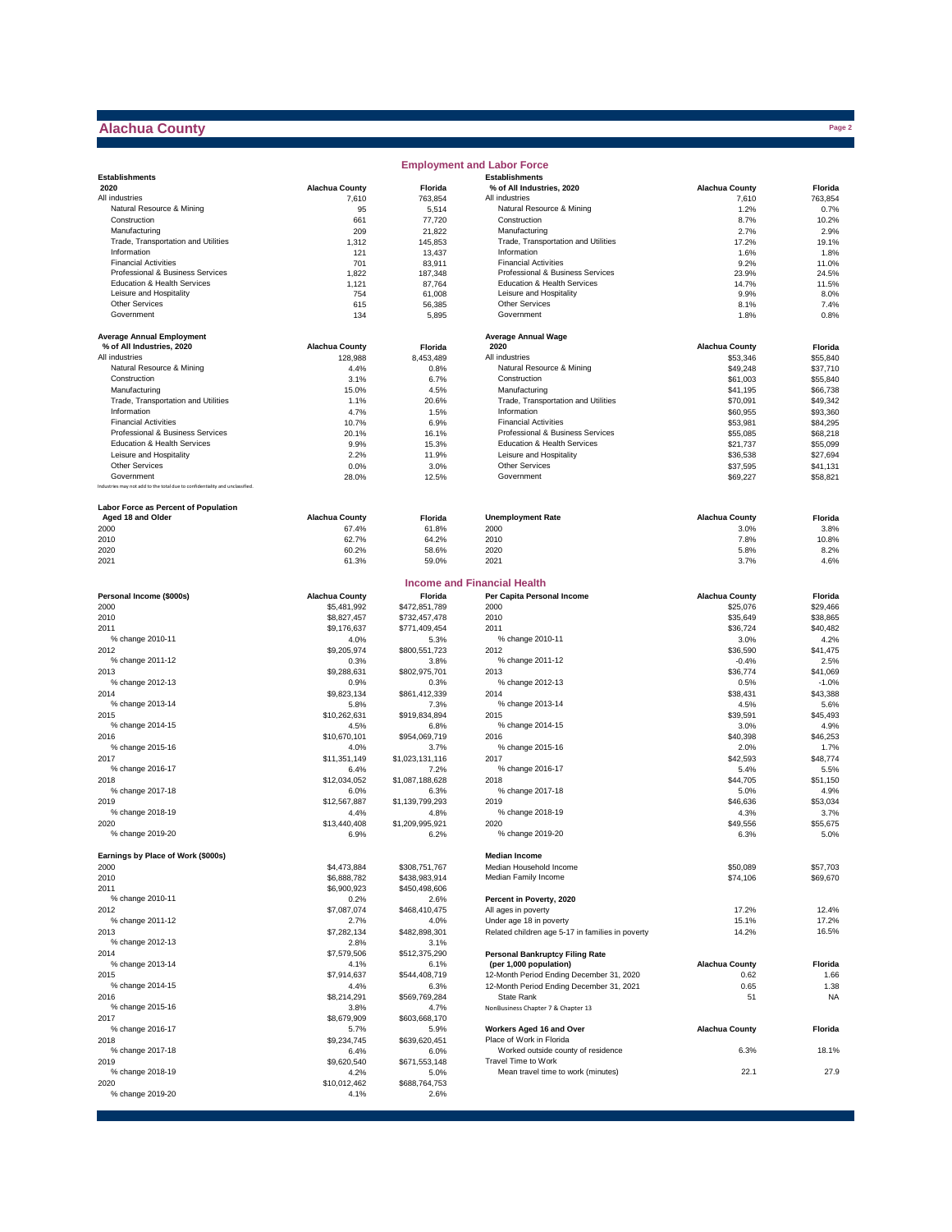# **Alachua County**

 $\sim 10$ 

|                                                                             |                            |                                | <b>Employment and Labor Force</b>                  |                       |                      |
|-----------------------------------------------------------------------------|----------------------------|--------------------------------|----------------------------------------------------|-----------------------|----------------------|
| <b>Establishments</b>                                                       |                            |                                | <b>Establishments</b>                              |                       |                      |
| 2020                                                                        | <b>Alachua County</b>      | <b>Florida</b>                 | % of All Industries, 2020                          | <b>Alachua County</b> | Florida              |
| All industries                                                              | 7,610                      | 763,854                        | All industries                                     | 7,610                 | 763,854              |
| Natural Resource & Mining                                                   | 95                         | 5,514                          | Natural Resource & Mining                          | 1.2%                  | 0.7%                 |
| Construction<br>Manufacturing                                               | 661<br>209                 | 77,720<br>21,822               | Construction<br>Manufacturing                      | 8.7%<br>2.7%          | 10.2%<br>2.9%        |
| Trade, Transportation and Utilities                                         | 1,312                      | 145,853                        | Trade, Transportation and Utilities                | 17.2%                 | 19.1%                |
| Information                                                                 | 121                        | 13,437                         | Information                                        | 1.6%                  | 1.8%                 |
| <b>Financial Activities</b>                                                 | 701                        | 83,911                         | <b>Financial Activities</b>                        | 9.2%                  | 11.0%                |
| Professional & Business Services                                            | 1,822                      | 187,348                        | Professional & Business Services                   | 23.9%                 | 24.5%                |
| Education & Health Services                                                 | 1,121                      | 87,764                         | Education & Health Services                        | 14.7%                 | 11.5%                |
| Leisure and Hospitality                                                     | 754                        | 61,008                         | Leisure and Hospitality                            | 9.9%                  | 8.0%                 |
| Other Services<br>Government                                                | 615<br>134                 | 56,385<br>5,895                | Other Services<br>Government                       | 8.1%<br>1.8%          | 7.4%<br>0.8%         |
|                                                                             |                            |                                |                                                    |                       |                      |
| <b>Average Annual Employment</b>                                            |                            |                                | <b>Average Annual Wage</b>                         |                       |                      |
| % of All Industries, 2020                                                   | <b>Alachua County</b>      | Florida                        | 2020                                               | <b>Alachua County</b> | Florida              |
| All industries                                                              | 128,988                    | 8,453,489                      | All industries                                     | \$53,346              | \$55,840             |
| Natural Resource & Mining                                                   | 4.4%                       | 0.8%                           | Natural Resource & Mining                          | \$49,248              | \$37,710             |
| Construction                                                                | 3.1%                       | 6.7%                           | Construction                                       | \$61,003              | \$55,840             |
| Manufacturing                                                               | 15.0%                      | 4.5%                           | Manufacturing                                      | \$41,195              | \$66,738             |
| Trade, Transportation and Utilities<br>Information                          | 1.1%                       | 20.6%                          | Trade, Transportation and Utilities<br>Information | \$70,091              | \$49,342             |
| <b>Financial Activities</b>                                                 | 4.7%<br>10.7%              | 1.5%<br>6.9%                   | <b>Financial Activities</b>                        | \$60,955<br>\$53,981  | \$93,360<br>\$84,295 |
| Professional & Business Services                                            | 20.1%                      | 16.1%                          | Professional & Business Services                   | \$55,085              | \$68,218             |
| Education & Health Services                                                 | 9.9%                       | 15.3%                          | Education & Health Services                        | \$21,737              | \$55,099             |
| Leisure and Hospitality                                                     | 2.2%                       | 11.9%                          | Leisure and Hospitality                            | \$36,538              | \$27,694             |
| <b>Other Services</b>                                                       | 0.0%                       | 3.0%                           | <b>Other Services</b>                              | \$37,595              | \$41,131             |
| Government                                                                  | 28.0%                      | 12.5%                          | Government                                         | \$69,227              | \$58,821             |
| Industries may not add to the total due to confidentiality and unclassified |                            |                                |                                                    |                       |                      |
| Labor Force as Percent of Population                                        |                            |                                |                                                    |                       |                      |
| Aged 18 and Older                                                           | <b>Alachua County</b>      | <b>Florida</b>                 | <b>Unemployment Rate</b>                           | <b>Alachua County</b> | Florida              |
| 2000                                                                        | 67.4%                      | 61.8%                          | 2000                                               | 3.0%                  | 3.8%                 |
| 2010                                                                        | 62.7%                      | 64.2%                          | 2010                                               | 7.8%                  | 10.8%                |
| 2020<br>2021                                                                | 60.2%<br>61.3%             | 58.6%<br>59.0%                 | 2020<br>2021                                       | 5.8%<br>3.7%          | 8.2%<br>4.6%         |
|                                                                             |                            |                                |                                                    |                       |                      |
|                                                                             |                            |                                | <b>Income and Financial Health</b>                 |                       |                      |
| Personal Income (\$000s)                                                    | <b>Alachua County</b>      | Florida                        | Per Capita Personal Income                         | <b>Alachua County</b> | Florida              |
| 2000<br>2010                                                                | \$5,481,992<br>\$8,827,457 | \$472,851,789<br>\$732,457,478 | 2000<br>2010                                       | \$25,076<br>\$35,649  | \$29,466<br>\$38,865 |
| 2011                                                                        | \$9,176,637                | \$771,409,454                  | 2011                                               | \$36,724              | \$40,482             |
| % change 2010-11                                                            | 4.0%                       | 5.3%                           | % change 2010-11                                   | 3.0%                  | 4.2%                 |
| 2012                                                                        | \$9,205,974                | \$800,551,723                  | 2012                                               | \$36,590              | \$41,475             |
| % change 2011-12                                                            | 0.3%                       | 3.8%                           | % change 2011-12                                   | $-0.4%$               | 2.5%                 |
| 2013                                                                        | \$9,288,631                | \$802,975,701                  | 2013                                               | \$36,774              | \$41,069             |
| % change 2012-13                                                            | 0.9%                       | 0.3%                           | % change 2012-13                                   | 0.5%                  | $-1.0%$              |
| 2014                                                                        | \$9,823,134                | \$861,412,339                  | 2014                                               | \$38,431              | \$43,388             |
| % change 2013-14                                                            | 5.8%                       | 7.3%                           | % change 2013-14                                   | 4.5%                  | 5.6%                 |
| 2015                                                                        | \$10,262,631               | \$919,834,894                  | 2015                                               | \$39,591              | \$45,493             |
| % change 2014-15                                                            | 4.5%                       | 6.8%                           | % change 2014-15                                   | 3.0%                  | 4.9%                 |
| 2016<br>% change 2015-16                                                    | \$10,670,101               | \$954,069,719                  | 2016<br>% change 2015-16                           | \$40,398              | \$46,253             |
| 2017                                                                        | 4.0%<br>\$11,351,149       | 3.7%<br>\$1,023,131,116        | 2017                                               | 2.0%<br>\$42,593      | 1.7%<br>\$48,774     |
| % change 2016-17                                                            | 6.4%                       | 7.2%                           | % change 2016-17                                   | 5.4%                  | 5.5%                 |
| 2018                                                                        | \$12,034,052               | \$1,087,188,628                | 2018                                               | \$44,705              | \$51,150             |
| % change 2017-18                                                            | 6.0%                       | 6.3%                           | % change 2017-18                                   | 5.0%                  | 4.9%                 |
| 2019                                                                        | \$12,567,887               | \$1,139,799,293                | 2019                                               | \$46,636              | \$53,034             |
| % change 2018-19                                                            | 4.4%                       | 4.8%                           | % change 2018-19                                   | 4.3%                  | 3.7%                 |
| 2020                                                                        | \$13,440,408               | \$1,209,995,921                | 2020                                               | \$49,556              | \$55,675             |
| % change 2019-20                                                            | 6.9%                       | 6.2%                           | % change 2019-20                                   | 6.3%                  | 5.0%                 |
| Earnings by Place of Work (\$000s)                                          |                            |                                | <b>Median Income</b>                               |                       |                      |
| 2000                                                                        | \$4,473,884                | \$308,751,767                  | Median Household Income                            | \$50,089              | \$57,703             |
| 2010                                                                        | \$6,888,782                | \$438,983,914                  | Median Family Income                               | \$74,106              | \$69,670             |
| 2011                                                                        | \$6,900,923                | \$450,498,606                  |                                                    |                       |                      |
| % change 2010-11                                                            | 0.2%                       | 2.6%                           | Percent in Poverty, 2020                           | 17.2%                 | 12.4%                |
| 2012<br>% change 2011-12                                                    | \$7,087,074<br>2.7%        | \$468,410,475<br>4.0%          | All ages in poverty<br>Under age 18 in poverty     | 15.1%                 | 17.2%                |
| 2013                                                                        | \$7,282,134                | \$482,898,301                  | Related children age 5-17 in families in poverty   | 14.2%                 | 16.5%                |
| % change 2012-13                                                            | 2.8%                       | 3.1%                           |                                                    |                       |                      |
| 2014                                                                        | \$7,579,506                | \$512,375,290                  | <b>Personal Bankruptcy Filing Rate</b>             |                       |                      |
| % change 2013-14                                                            | 4.1%                       | 6.1%                           | (per 1,000 population)                             | <b>Alachua County</b> | Florida              |
| 2015                                                                        | \$7,914,637                | \$544,408,719                  | 12-Month Period Ending December 31, 2020           | 0.62                  | 1.66                 |
| % change 2014-15                                                            | 4.4%                       | 6.3%                           | 12-Month Period Ending December 31, 2021           | 0.65                  | 1.38                 |
| 2016                                                                        | \$8,214,291                | \$569,769,284                  | State Rank                                         | 51                    | <b>NA</b>            |
| % change 2015-16                                                            | 3.8%                       | 4.7%                           | NonBusiness Chapter 7 & Chapter 13                 |                       |                      |
| 2017                                                                        | \$8,679,909                | \$603,668,170                  | Workers Aged 16 and Over                           | <b>Alachua County</b> |                      |
| % change 2016-17<br>2018                                                    | 5.7%<br>\$9,234,745        | 5.9%<br>\$639,620,451          | Place of Work in Florida                           |                       | Florida              |
| % change 2017-18                                                            | 6.4%                       | 6.0%                           | Worked outside county of residence                 | 6.3%                  | 18.1%                |
| 2019                                                                        | \$9,620,540                | \$671,553,148                  | Travel Time to Work                                |                       |                      |
| % change 2018-19                                                            | 4.2%                       | 5.0%                           | Mean travel time to work (minutes)                 | 22.1                  | 27.9                 |
| 2020                                                                        | \$10,012,462               | \$688,764,753                  |                                                    |                       |                      |
| % change 2019-20                                                            | 4.1%                       | 2.6%                           |                                                    |                       |                      |